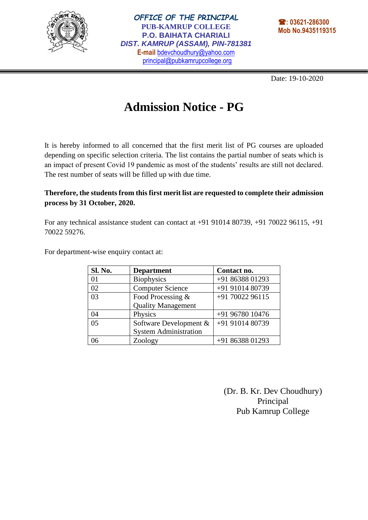

Date: 19-10-2020

ׇׇ֧֬֕

## **Admission Notice - PG**

It is hereby informed to all concerned that the first merit list of PG courses are uploaded depending on specific selection criteria. The list contains the partial number of seats which is an impact of present Covid 19 pandemic as most of the students' results are still not declared. The rest number of seats will be filled up with due time.

## **Therefore, the students from this first merit list are requested to complete their admission process by 31 October, 2020.**

For any technical assistance student can contact at +91 91014 80739, +91 70022 96115, +91 70022 59276.

For department-wise enquiry contact at:

| Sl. No.        | <b>Department</b>            | Contact no.     |
|----------------|------------------------------|-----------------|
| 01             | <b>Biophysics</b>            | +91 86388 01293 |
| 02             | <b>Computer Science</b>      | +91 91014 80739 |
| 03             | Food Processing &            | +91 70022 96115 |
|                | <b>Quality Management</b>    |                 |
| 04             | Physics                      | +91 96780 10476 |
| 0 <sub>5</sub> | Software Development &       | +91 91014 80739 |
|                | <b>System Administration</b> |                 |
| 06             | Zoology                      | +91 86388 01293 |

(Dr. B. Kr. Dev Choudhury) Principal Pub Kamrup College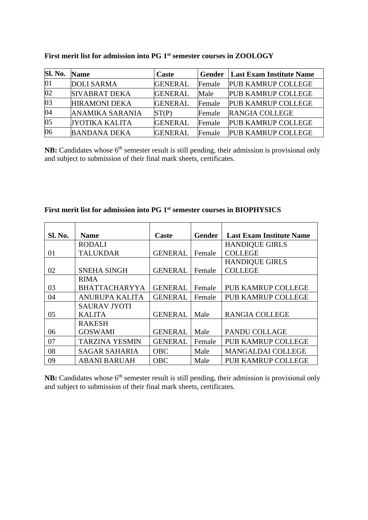| Sl. No.         | <b>Name</b>            | Caste          | Gender | <b>Last Exam Institute Name</b> |
|-----------------|------------------------|----------------|--------|---------------------------------|
| 01              | <b>DOLI SARMA</b>      | <b>GENERAL</b> | Female | <b>PUB KAMRUP COLLEGE</b>       |
| $\overline{02}$ | <b>SIVABRAT DEKA</b>   | <b>GENERAL</b> | Male   | <b>PUB KAMRUP COLLEGE</b>       |
| 03              | <b>HIRAMONI DEKA</b>   | <b>GENERAL</b> | Female | <b>PUB KAMRUP COLLEGE</b>       |
| 04              | <b>ANAMIKA SARANIA</b> | ST(P)          | Female | <b>RANGIA COLLEGE</b>           |
| 05              | <b>JYOTIKA KALITA</b>  | <b>GENERAL</b> | Female | <b>PUB KAMRUP COLLEGE</b>       |
| 06              | <b>BANDANA DEKA</b>    | <b>GENERAL</b> | Female | <b>PUB KAMRUP COLLEGE</b>       |

**First merit list for admission into PG 1st semester courses in ZOOLOGY**

**NB:** Candidates whose 6<sup>th</sup> semester result is still pending, their admission is provisional only and subject to submission of their final mark sheets, certificates.

 $\overline{\phantom{a}}$ 

 $\overline{\phantom{a}}$ 

| <b>Sl. No.</b> | <b>Name</b>           | Caste          | Gender | <b>Last Exam Institute Name</b> |
|----------------|-----------------------|----------------|--------|---------------------------------|
|                | <b>RODALI</b>         |                |        | <b>HANDIQUE GIRLS</b>           |
| 01             | <b>TALUKDAR</b>       | <b>GENERAL</b> | Female | <b>COLLEGE</b>                  |
|                |                       |                |        | <b>HANDIQUE GIRLS</b>           |
| 02             | <b>SNEHA SINGH</b>    | <b>GENERAL</b> | Female | <b>COLLEGE</b>                  |
|                | <b>RIMA</b>           |                |        |                                 |
| 03             | <b>BHATTACHARYYA</b>  | <b>GENERAL</b> | Female | <b>PUB KAMRUP COLLEGE</b>       |
| 04             | <b>ANURUPA KALITA</b> | <b>GENERAL</b> | Female | <b>PUB KAMRUP COLLEGE</b>       |
|                | <b>SAURAV JYOTI</b>   |                |        |                                 |
| 05             | <b>KALITA</b>         | <b>GENERAL</b> | Male   | <b>RANGIA COLLEGE</b>           |
|                | <b>RAKESH</b>         |                |        |                                 |
| 06             | <b>GOSWAMI</b>        | <b>GENERAL</b> | Male   | PANDU COLLAGE                   |
| 07             | <b>TARZINA YESMIN</b> | <b>GENERAL</b> | Female | <b>PUB KAMRUP COLLEGE</b>       |
| 08             | <b>SAGAR SAHARIA</b>  | <b>OBC</b>     | Male   | <b>MANGALDAI COLLEGE</b>        |
| 09             | <b>ABANI BARUAH</b>   | <b>OBC</b>     | Male   | <b>PUB KAMRUP COLLEGE</b>       |

**First merit list for admission into PG 1st semester courses in BIOPHYSICS**

**NB:** Candidates whose 6<sup>th</sup> semester result is still pending, their admission is provisional only and subject to submission of their final mark sheets, certificates.